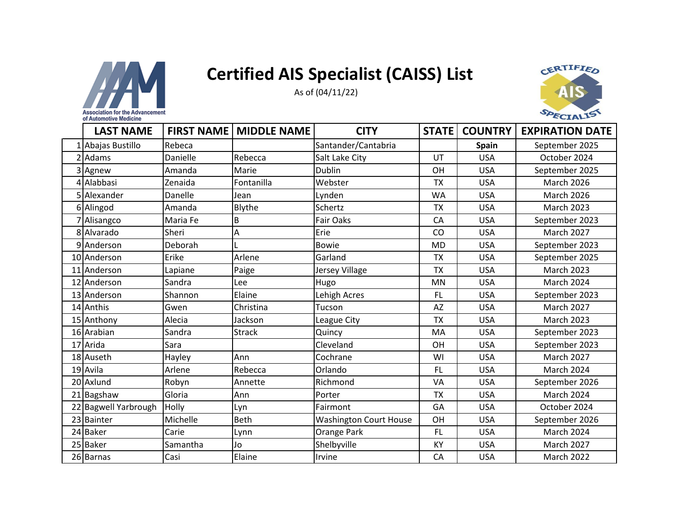



|    | ECIALL<br>of Automotive Medicine |                   |                    |                               |              |                |                        |  |  |
|----|----------------------------------|-------------------|--------------------|-------------------------------|--------------|----------------|------------------------|--|--|
|    | <b>LAST NAME</b>                 | <b>FIRST NAME</b> | <b>MIDDLE NAME</b> | <b>CITY</b>                   | <b>STATE</b> | <b>COUNTRY</b> | <b>EXPIRATION DATE</b> |  |  |
|    | 1 Abajas Bustillo                | Rebeca            |                    | Santander/Cantabria           |              | <b>Spain</b>   | September 2025         |  |  |
|    | 2 Adams                          | Danielle          | Rebecca            | Salt Lake City                | UT           | <b>USA</b>     | October 2024           |  |  |
|    | 3 Agnew                          | Amanda            | Marie              | <b>Dublin</b>                 | OH           | <b>USA</b>     | September 2025         |  |  |
|    | 4 Alabbasi                       | Zenaida           | Fontanilla         | Webster                       | <b>TX</b>    | <b>USA</b>     | <b>March 2026</b>      |  |  |
|    | Alexander                        | Danelle           | Jean               | Lynden                        | <b>WA</b>    | <b>USA</b>     | <b>March 2026</b>      |  |  |
|    | 6 Alingod                        | Amanda            | Blythe             | Schertz                       | <b>TX</b>    | <b>USA</b>     | <b>March 2023</b>      |  |  |
|    | Alisangco                        | Maria Fe          | B                  | <b>Fair Oaks</b>              | CA           | <b>USA</b>     | September 2023         |  |  |
|    | 8 Alvarado                       | Sheri             | A                  | Erie                          | CO           | <b>USA</b>     | <b>March 2027</b>      |  |  |
|    | 9 Anderson                       | Deborah           |                    | <b>Bowie</b>                  | <b>MD</b>    | <b>USA</b>     | September 2023         |  |  |
|    | 10 Anderson                      | Erike             | Arlene             | Garland                       | <b>TX</b>    | <b>USA</b>     | September 2025         |  |  |
|    | 11 Anderson                      | Lapiane           | Paige              | Jersey Village                | <b>TX</b>    | <b>USA</b>     | <b>March 2023</b>      |  |  |
|    | 12 Anderson                      | Sandra            | Lee                | Hugo                          | <b>MN</b>    | <b>USA</b>     | <b>March 2024</b>      |  |  |
|    | 13 Anderson                      | Shannon           | Elaine             | Lehigh Acres                  | FL.          | <b>USA</b>     | September 2023         |  |  |
|    | 14 Anthis                        | Gwen              | Christina          | Tucson                        | <b>AZ</b>    | <b>USA</b>     | <b>March 2027</b>      |  |  |
|    | 15 Anthony                       | Alecia            | Jackson            | League City                   | <b>TX</b>    | <b>USA</b>     | <b>March 2023</b>      |  |  |
|    | 16 Arabian                       | Sandra            | <b>Strack</b>      | Quincy                        | MA           | <b>USA</b>     | September 2023         |  |  |
|    | 17 Arida                         | Sara              |                    | Cleveland                     | OH           | <b>USA</b>     | September 2023         |  |  |
|    | 18 Auseth                        | Hayley            | Ann                | Cochrane                      | WI           | <b>USA</b>     | <b>March 2027</b>      |  |  |
|    | 19 Avila                         | Arlene            | Rebecca            | Orlando                       | <b>FL</b>    | <b>USA</b>     | <b>March 2024</b>      |  |  |
|    | 20 Axlund                        | Robyn             | Annette            | Richmond                      | VA           | <b>USA</b>     | September 2026         |  |  |
| 21 | Bagshaw                          | Gloria            | Ann                | Porter                        | <b>TX</b>    | <b>USA</b>     | <b>March 2024</b>      |  |  |
|    | 22 Bagwell Yarbrough             | Holly             | Lyn                | Fairmont                      | GA           | <b>USA</b>     | October 2024           |  |  |
|    | 23 Bainter                       | Michelle          | <b>Beth</b>        | <b>Washington Court House</b> | OH           | <b>USA</b>     | September 2026         |  |  |
|    | 24 Baker                         | Carie             | Lynn               | Orange Park                   | FL           | <b>USA</b>     | <b>March 2024</b>      |  |  |
|    | 25 Baker                         | Samantha          | Jo                 | Shelbyville                   | KY           | <b>USA</b>     | March 2027             |  |  |
|    | 26 Barnas                        | Casi              | Elaine             | Irvine                        | CA           | <b>USA</b>     | March 2022             |  |  |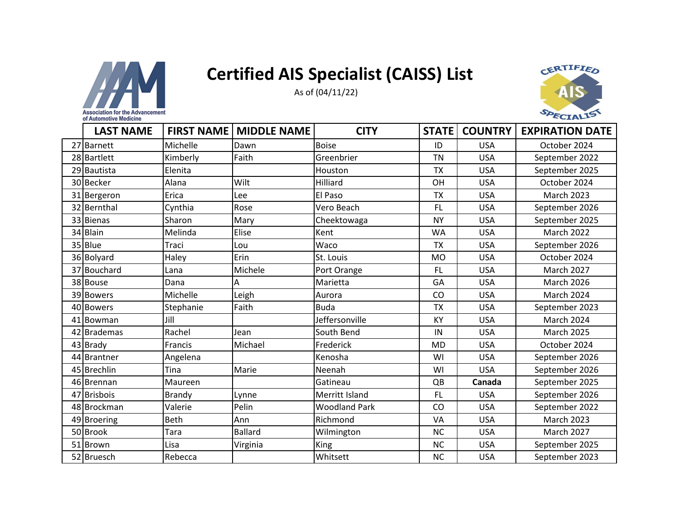



| <b>LAST NAME</b> | <b>FIRST NAME</b> | <b>MIDDLE NAME</b> | <b>CITY</b>          | <b>STATE</b> | <b>COUNTRY</b> | <b>EXPIRATION DATE</b> |
|------------------|-------------------|--------------------|----------------------|--------------|----------------|------------------------|
|                  |                   |                    |                      |              |                |                        |
| 27 Barnett       | Michelle          | Dawn               | <b>Boise</b>         | ID           | <b>USA</b>     | October 2024           |
| 28 Bartlett      | Kimberly          | Faith              | Greenbrier           | <b>TN</b>    | <b>USA</b>     | September 2022         |
| 29 Bautista      | Elenita           |                    | Houston              | <b>TX</b>    | <b>USA</b>     | September 2025         |
| 30 Becker        | Alana             | Wilt               | Hilliard             | OH           | <b>USA</b>     | October 2024           |
| 31 Bergeron      | Erica             | Lee                | El Paso              | <b>TX</b>    | <b>USA</b>     | <b>March 2023</b>      |
| 32 Bernthal      | Cynthia           | Rose               | Vero Beach           | <b>FL</b>    | <b>USA</b>     | September 2026         |
| 33 Bienas        | Sharon            | Mary               | Cheektowaga          | <b>NY</b>    | <b>USA</b>     | September 2025         |
| 34 Blain         | Melinda           | Elise              | Kent                 | <b>WA</b>    | <b>USA</b>     | <b>March 2022</b>      |
| 35 Blue          | Traci             | Lou                | Waco                 | <b>TX</b>    | <b>USA</b>     | September 2026         |
| 36 Bolyard       | Haley             | Erin               | St. Louis            | <b>MO</b>    | <b>USA</b>     | October 2024           |
| 37 Bouchard      | Lana              | Michele            | Port Orange          | <b>FL</b>    | <b>USA</b>     | <b>March 2027</b>      |
| 38 Bouse         | Dana              | А                  | Marietta             | GA           | <b>USA</b>     | <b>March 2026</b>      |
| 39 Bowers        | Michelle          | Leigh              | Aurora               | CO           | <b>USA</b>     | <b>March 2024</b>      |
| 40 Bowers        | Stephanie         | Faith              | <b>Buda</b>          | <b>TX</b>    | <b>USA</b>     | September 2023         |
| 41 Bowman        | Jill              |                    | Jeffersonville       | <b>KY</b>    | <b>USA</b>     | <b>March 2024</b>      |
| 42 Brademas      | Rachel            | Jean               | South Bend           | IN           | <b>USA</b>     | <b>March 2025</b>      |
| 43 Brady         | <b>Francis</b>    | Michael            | Frederick            | <b>MD</b>    | <b>USA</b>     | October 2024           |
| 44 Brantner      | Angelena          |                    | Kenosha              | WI           | <b>USA</b>     | September 2026         |
| 45 Brechlin      | Tina              | Marie              | Neenah               | WI           | <b>USA</b>     | September 2026         |
| 46 Brennan       | Maureen           |                    | Gatineau             | QB           | Canada         | September 2025         |
| 47 Brisbois      | Brandy            | Lynne              | Merritt Island       | <b>FL</b>    | <b>USA</b>     | September 2026         |
| 48 Brockman      | Valerie           | Pelin              | <b>Woodland Park</b> | CO           | <b>USA</b>     | September 2022         |
| 49 Broering      | Beth              | Ann                | Richmond             | VA           | <b>USA</b>     | <b>March 2023</b>      |
| 50 Brook         | Tara              | <b>Ballard</b>     | Wilmington           | <b>NC</b>    | <b>USA</b>     | <b>March 2027</b>      |
| 51 Brown         | Lisa              | Virginia           | King                 | <b>NC</b>    | <b>USA</b>     | September 2025         |
| 52 Bruesch       | Rebecca           |                    | Whitsett             | <b>NC</b>    | <b>USA</b>     | September 2023         |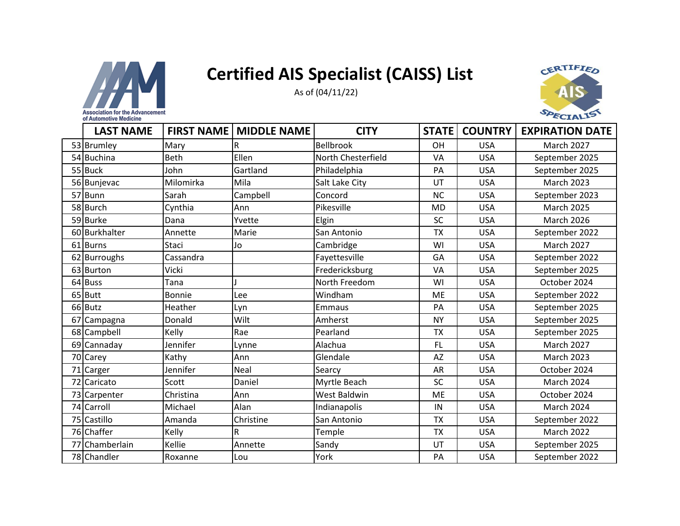



| <b>LAST NAME</b> | <b>FIRST NAME</b> | <b>MIDDLE NAME</b> | <b>CITY</b>        | <b>STATE</b> | <b>COUNTRY</b> | <b>EXPIRATION DATE</b> |
|------------------|-------------------|--------------------|--------------------|--------------|----------------|------------------------|
| 53 Brumley       | Mary              | R                  | <b>Bellbrook</b>   | OH           | <b>USA</b>     | <b>March 2027</b>      |
| 54 Buchina       | <b>Beth</b>       | Ellen              | North Chesterfield | VA           | <b>USA</b>     | September 2025         |
| 55 Buck          | John              | Gartland           | Philadelphia       | PA           | <b>USA</b>     | September 2025         |
| 56 Bunjevac      | Milomirka         | Mila               | Salt Lake City     | UT           | <b>USA</b>     | <b>March 2023</b>      |
| 57 Bunn          | Sarah             | Campbell           | Concord            | <b>NC</b>    | <b>USA</b>     | September 2023         |
| 58 Burch         | Cynthia           | Ann                | Pikesville         | <b>MD</b>    | <b>USA</b>     | <b>March 2025</b>      |
| 59 Burke         | Dana              | Yvette             | Elgin              | <b>SC</b>    | <b>USA</b>     | <b>March 2026</b>      |
| 60 Burkhalter    | Annette           | Marie              | San Antonio        | <b>TX</b>    | <b>USA</b>     | September 2022         |
| 61 Burns         | Staci             | Jo                 | Cambridge          | WI           | <b>USA</b>     | <b>March 2027</b>      |
| 62 Burroughs     | Cassandra         |                    | Fayettesville      | GA           | <b>USA</b>     | September 2022         |
| 63 Burton        | Vicki             |                    | Fredericksburg     | VA           | <b>USA</b>     | September 2025         |
| 64 Buss          | Tana              |                    | North Freedom      | WI           | <b>USA</b>     | October 2024           |
| 65 Butt          | Bonnie            | Lee                | Windham            | <b>ME</b>    | <b>USA</b>     | September 2022         |
| 66 Butz          | Heather           | Lyn                | Emmaus             | PA           | <b>USA</b>     | September 2025         |
| 67 Campagna      | Donald            | Wilt               | Amherst            | <b>NY</b>    | <b>USA</b>     | September 2025         |
| 68 Campbell      | Kelly             | Rae                | Pearland           | <b>TX</b>    | <b>USA</b>     | September 2025         |
| 69 Cannaday      | Jennifer          | Lynne              | Alachua            | <b>FL</b>    | <b>USA</b>     | <b>March 2027</b>      |
| 70 Carey         | Kathy             | Ann                | Glendale           | <b>AZ</b>    | <b>USA</b>     | <b>March 2023</b>      |
| 71 Carger        | Jennifer          | Neal               | Searcy             | AR           | <b>USA</b>     | October 2024           |
| 72 Caricato      | Scott             | Daniel             | Myrtle Beach       | <b>SC</b>    | <b>USA</b>     | <b>March 2024</b>      |
| 73 Carpenter     | Christina         | Ann                | West Baldwin       | <b>ME</b>    | <b>USA</b>     | October 2024           |
| 74 Carroll       | Michael           | Alan               | Indianapolis       | IN           | <b>USA</b>     | March 2024             |
| 75 Castillo      | Amanda            | Christine          | San Antonio        | <b>TX</b>    | <b>USA</b>     | September 2022         |
| 76 Chaffer       | Kelly             | R                  | Temple             | <b>TX</b>    | <b>USA</b>     | <b>March 2022</b>      |
| 77 Chamberlain   | Kellie            | Annette            | Sandy              | UT           | <b>USA</b>     | September 2025         |
| 78 Chandler      | Roxanne           | Lou                | York               | PA           | <b>USA</b>     | September 2022         |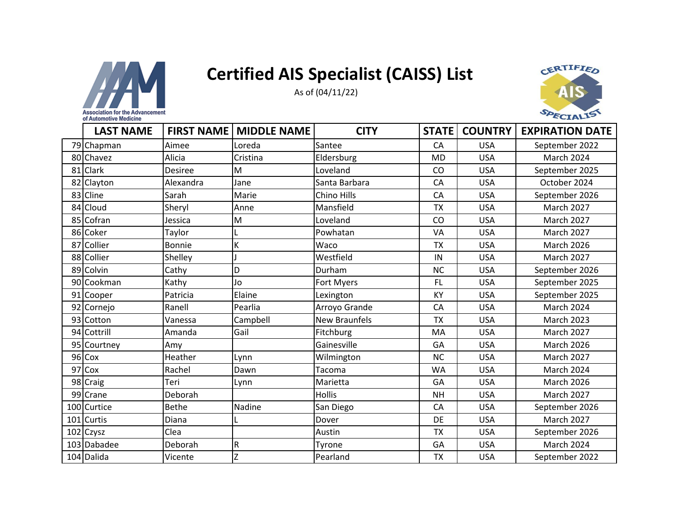



| of Automotive Medicine |                   |                    |                      |              |                |                        |
|------------------------|-------------------|--------------------|----------------------|--------------|----------------|------------------------|
| <b>LAST NAME</b>       | <b>FIRST NAME</b> | <b>MIDDLE NAME</b> | <b>CITY</b>          | <b>STATE</b> | <b>COUNTRY</b> | <b>EXPIRATION DATE</b> |
| 79 Chapman             | Aimee             | Loreda             | Santee               | CA           | <b>USA</b>     | September 2022         |
| 80 Chavez              | Alicia            | Cristina           | Eldersburg           | <b>MD</b>    | <b>USA</b>     | <b>March 2024</b>      |
| 81 Clark               | <b>Desiree</b>    | M                  | Loveland             | CO           | <b>USA</b>     | September 2025         |
| 82 Clayton             | Alexandra         | Jane               | Santa Barbara        | CA           | <b>USA</b>     | October 2024           |
| 83 Cline               | Sarah             | Marie              | Chino Hills          | CA           | <b>USA</b>     | September 2026         |
| 84 Cloud               | Sheryl            | Anne               | Mansfield            | <b>TX</b>    | <b>USA</b>     | <b>March 2027</b>      |
| 85 Cofran              | Jessica           | M                  | Loveland             | CO           | <b>USA</b>     | <b>March 2027</b>      |
| 86 Coker               | Taylor            |                    | Powhatan             | VA           | <b>USA</b>     | March 2027             |
| 87 Collier             | <b>Bonnie</b>     | Κ                  | Waco                 | <b>TX</b>    | <b>USA</b>     | <b>March 2026</b>      |
| 88 Collier             | Shelley           |                    | Westfield            | IN           | <b>USA</b>     | <b>March 2027</b>      |
| 89 Colvin              | Cathy             | D                  | Durham               | <b>NC</b>    | <b>USA</b>     | September 2026         |
| 90 Cookman             | Kathy             | Jo                 | Fort Myers           | <b>FL</b>    | <b>USA</b>     | September 2025         |
| 91 Cooper              | Patricia          | Elaine             | Lexington            | KY           | <b>USA</b>     | September 2025         |
| 92 Cornejo             | Ranell            | Pearlia            | Arroyo Grande        | CA           | <b>USA</b>     | March 2024             |
| 93 Cotton              | Vanessa           | Campbell           | <b>New Braunfels</b> | <b>TX</b>    | <b>USA</b>     | <b>March 2023</b>      |
| 94 Cottrill            | Amanda            | Gail               | Fitchburg            | MA           | <b>USA</b>     | March 2027             |
| 95 Courtney            | Amy               |                    | Gainesville          | GA           | <b>USA</b>     | <b>March 2026</b>      |
| 96 Cox                 | Heather           | Lynn               | Wilmington           | <b>NC</b>    | <b>USA</b>     | March 2027             |
| 97 Cox                 | Rachel            | Dawn               | Tacoma               | <b>WA</b>    | <b>USA</b>     | March 2024             |
| 98 Craig               | Teri              | Lynn               | Marietta             | GA           | <b>USA</b>     | <b>March 2026</b>      |
| 99 Crane               | Deborah           |                    | <b>Hollis</b>        | <b>NH</b>    | <b>USA</b>     | <b>March 2027</b>      |
| 100 Curtice            | <b>Bethe</b>      | Nadine             | San Diego            | CA           | <b>USA</b>     | September 2026         |
| 101 Curtis             | Diana             |                    | Dover                | DE           | <b>USA</b>     | <b>March 2027</b>      |
| 102 Czysz              | Clea              |                    | Austin               | <b>TX</b>    | <b>USA</b>     | September 2026         |
| 103 Dabadee            | Deborah           | ${\sf R}$          | Tyrone               | GA           | <b>USA</b>     | March 2024             |
| 104 Dalida             | Vicente           | $\overline{z}$     | Pearland             | <b>TX</b>    | <b>USA</b>     | September 2022         |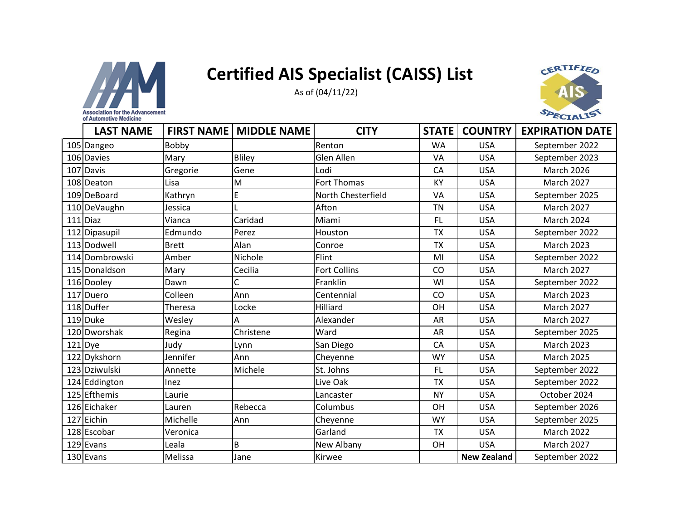



| <b>LAST NAME</b> | <b>FIRST NAME</b> | <b>MIDDLE NAME</b> | <b>CITY</b>         | <b>STATE</b> | <b>COUNTRY</b>     | <b>EXPIRATION DATE</b> |
|------------------|-------------------|--------------------|---------------------|--------------|--------------------|------------------------|
| 105 Dangeo       | Bobby             |                    | Renton              | <b>WA</b>    | <b>USA</b>         | September 2022         |
| 106 Davies       | Mary              | Bliley             | Glen Allen          | VA           | <b>USA</b>         | September 2023         |
| 107 Davis        | Gregorie          | Gene               | Lodi                | CA           | <b>USA</b>         | March 2026             |
| 108 Deaton       | Lisa              | M                  | <b>Fort Thomas</b>  | <b>KY</b>    | <b>USA</b>         | March 2027             |
| 109 DeBoard      | Kathryn           | E                  | North Chesterfield  | VA           | <b>USA</b>         | September 2025         |
| 110 DeVaughn     | Jessica           |                    | Afton               | <b>TN</b>    | <b>USA</b>         | <b>March 2027</b>      |
| $111$ Diaz       | Vianca            | Caridad            | Miami               | <b>FL</b>    | <b>USA</b>         | March 2024             |
| 112 Dipasupil    | Edmundo           | Perez              | Houston             | <b>TX</b>    | <b>USA</b>         | September 2022         |
| 113 Dodwell      | <b>Brett</b>      | Alan               | Conroe              | <b>TX</b>    | <b>USA</b>         | <b>March 2023</b>      |
| 114 Dombrowski   | Amber             | Nichole            | Flint               | MI           | <b>USA</b>         | September 2022         |
| 115 Donaldson    | Mary              | Cecilia            | <b>Fort Collins</b> | CO           | <b>USA</b>         | <b>March 2027</b>      |
| 116 Dooley       | Dawn              | C                  | Franklin            | WI           | <b>USA</b>         | September 2022         |
| 117 Duero        | Colleen           | Ann                | Centennial          | CO           | <b>USA</b>         | <b>March 2023</b>      |
| 118 Duffer       | Theresa           | Locke              | Hilliard            | OH           | <b>USA</b>         | <b>March 2027</b>      |
| 119 Duke         | Wesley            | Α                  | Alexander           | <b>AR</b>    | <b>USA</b>         | <b>March 2027</b>      |
| 120 Dworshak     | Regina            | Christene          | Ward                | AR           | <b>USA</b>         | September 2025         |
| $121$ Dye        | Judy              | Lynn               | San Diego           | CA           | <b>USA</b>         | <b>March 2023</b>      |
| 122 Dykshorn     | Jennifer          | Ann                | Cheyenne            | <b>WY</b>    | <b>USA</b>         | <b>March 2025</b>      |
| 123 Dziwulski    | Annette           | Michele            | St. Johns           | <b>FL</b>    | <b>USA</b>         | September 2022         |
| 124 Eddington    | Inez              |                    | Live Oak            | <b>TX</b>    | <b>USA</b>         | September 2022         |
| 125 Efthemis     | Laurie            |                    | Lancaster           | <b>NY</b>    | <b>USA</b>         | October 2024           |
| 126 Eichaker     | Lauren            | Rebecca            | Columbus            | OH           | <b>USA</b>         | September 2026         |
| 127 Eichin       | Michelle          | Ann                | Cheyenne            | <b>WY</b>    | <b>USA</b>         | September 2025         |
| 128 Escobar      | Veronica          |                    | Garland             | <b>TX</b>    | <b>USA</b>         | <b>March 2022</b>      |
| 129 Evans        | Leala             | B                  | New Albany          | OH           | <b>USA</b>         | <b>March 2027</b>      |
| 130 Evans        | Melissa           | Jane               | Kirwee              |              | <b>New Zealand</b> | September 2022         |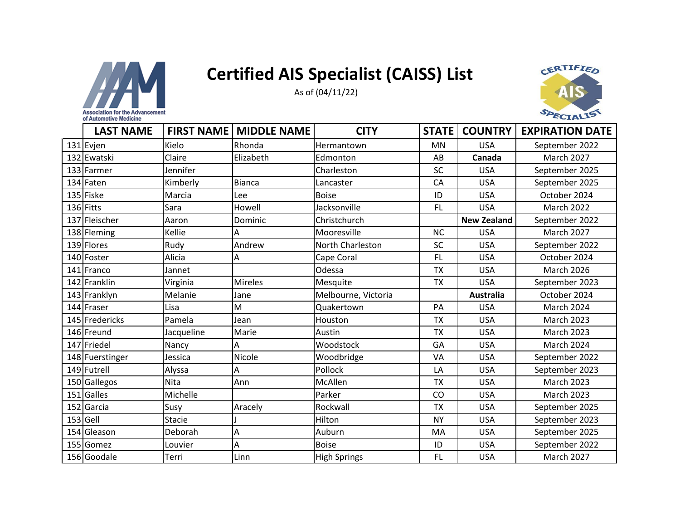

As of (04/11/22)



| <b>LAST NAME</b> |               | <b>FIRST NAME   MIDDLE NAME</b> | <b>CITY</b>         | <b>STATE</b> | <b>COUNTRY</b>     | <b>EXPIRATION DATE</b> |
|------------------|---------------|---------------------------------|---------------------|--------------|--------------------|------------------------|
| 131 Evjen        | Kielo         | Rhonda                          | Hermantown          | <b>MN</b>    | <b>USA</b>         | September 2022         |
| 132 Ewatski      | Claire        | Elizabeth                       | Edmonton            | AB           | Canada             | <b>March 2027</b>      |
| 133 Farmer       | Jennifer      |                                 | Charleston          | SC           | <b>USA</b>         | September 2025         |
| 134 Faten        | Kimberly      | <b>Bianca</b>                   | Lancaster           | CA           | <b>USA</b>         | September 2025         |
| 135 Fiske        | Marcia        | Lee                             | <b>Boise</b>        | ID           | <b>USA</b>         | October 2024           |
| 136 Fitts        | Sara          | Howell                          | Jacksonville        | <b>FL</b>    | <b>USA</b>         | <b>March 2022</b>      |
| 137 Fleischer    | Aaron         | Dominic                         | Christchurch        |              | <b>New Zealand</b> | September 2022         |
| 138 Fleming      | Kellie        | Α                               | Mooresville         | <b>NC</b>    | <b>USA</b>         | <b>March 2027</b>      |
| 139 Flores       | Rudy          | Andrew                          | North Charleston    | <b>SC</b>    | <b>USA</b>         | September 2022         |
| 140 Foster       | Alicia        | A                               | Cape Coral          | <b>FL</b>    | <b>USA</b>         | October 2024           |
| 141 Franco       | Jannet        |                                 | Odessa              | <b>TX</b>    | <b>USA</b>         | <b>March 2026</b>      |
| 142 Franklin     | Virginia      | <b>Mireles</b>                  | Mesquite            | <b>TX</b>    | <b>USA</b>         | September 2023         |
| 143 Franklyn     | Melanie       | Jane                            | Melbourne, Victoria |              | <b>Australia</b>   | October 2024           |
| 144 Fraser       | Lisa          | M                               | Quakertown          | PA           | <b>USA</b>         | <b>March 2024</b>      |
| 145 Fredericks   | Pamela        | Jean                            | Houston             | <b>TX</b>    | <b>USA</b>         | <b>March 2023</b>      |
| 146 Freund       | Jacqueline    | Marie                           | Austin              | <b>TX</b>    | <b>USA</b>         | <b>March 2023</b>      |
| 147 Friedel      | Nancy         | Α                               | Woodstock           | GA           | <b>USA</b>         | March 2024             |
| 148 Fuerstinger  | Jessica       | Nicole                          | Woodbridge          | VA           | <b>USA</b>         | September 2022         |
| 149 Futrell      | Alyssa        | Α                               | Pollock             | LA           | <b>USA</b>         | September 2023         |
| 150 Gallegos     | Nita          | Ann                             | McAllen             | <b>TX</b>    | <b>USA</b>         | <b>March 2023</b>      |
| 151 Galles       | Michelle      |                                 | Parker              | CO           | <b>USA</b>         | <b>March 2023</b>      |
| 152 Garcia       | Susy          | Aracely                         | Rockwall            | <b>TX</b>    | <b>USA</b>         | September 2025         |
| 153 Gell         | <b>Stacie</b> |                                 | Hilton              | <b>NY</b>    | <b>USA</b>         | September 2023         |
| 154 Gleason      | Deborah       | Α                               | Auburn              | MA           | <b>USA</b>         | September 2025         |
| 155 Gomez        | Louvier       | Α                               | <b>Boise</b>        | ID           | <b>USA</b>         | September 2022         |
| 156 Goodale      | Terri         | Linn                            | <b>High Springs</b> | <b>FL</b>    | <b>USA</b>         | <b>March 2027</b>      |

of Automotive Medicine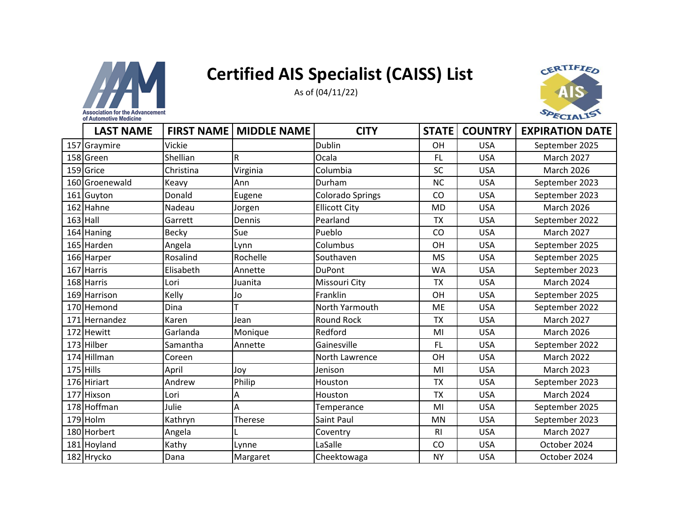



| or mutomotive medicine |              |                                 |                      |                |                |                        |
|------------------------|--------------|---------------------------------|----------------------|----------------|----------------|------------------------|
| <b>LAST NAME</b>       |              | <b>FIRST NAME   MIDDLE NAME</b> | <b>CITY</b>          | <b>STATE</b>   | <b>COUNTRY</b> | <b>EXPIRATION DATE</b> |
| 157 Graymire           | Vickie       |                                 | Dublin               | OH             | <b>USA</b>     | September 2025         |
| 158 Green              | Shellian     | R                               | Ocala                | FL             | <b>USA</b>     | <b>March 2027</b>      |
| 159 Grice              | Christina    | Virginia                        | Columbia             | SC             | <b>USA</b>     | <b>March 2026</b>      |
| 160 Groenewald         | Keavy        | Ann                             | Durham               | <b>NC</b>      | <b>USA</b>     | September 2023         |
| 161 Guyton             | Donald       | Eugene                          | Colorado Springs     | CO             | <b>USA</b>     | September 2023         |
| 162 Hahne              | Nadeau       | Jorgen                          | <b>Ellicott City</b> | <b>MD</b>      | <b>USA</b>     | <b>March 2026</b>      |
| $163$ Hall             | Garrett      | Dennis                          | Pearland             | <b>TX</b>      | <b>USA</b>     | September 2022         |
| 164 Haning             | <b>Becky</b> | Sue                             | Pueblo               | CO             | <b>USA</b>     | <b>March 2027</b>      |
| 165 Harden             | Angela       | Lynn                            | Columbus             | OH             | <b>USA</b>     | September 2025         |
| 166 Harper             | Rosalind     | Rochelle                        | Southaven            | <b>MS</b>      | <b>USA</b>     | September 2025         |
| 167 Harris             | Elisabeth    | Annette                         | DuPont               | <b>WA</b>      | <b>USA</b>     | September 2023         |
| 168 Harris             | Lori         | Juanita                         | Missouri City        | <b>TX</b>      | <b>USA</b>     | March 2024             |
| 169 Harrison           | Kelly        | Jo                              | Franklin             | <b>OH</b>      | <b>USA</b>     | September 2025         |
| 170 Hemond             | Dina         |                                 | North Yarmouth       | ME             | <b>USA</b>     | September 2022         |
| 171 Hernandez          | Karen        | Jean                            | Round Rock           | <b>TX</b>      | <b>USA</b>     | <b>March 2027</b>      |
| 172 Hewitt             | Garlanda     | Monique                         | Redford              | MI             | <b>USA</b>     | <b>March 2026</b>      |
| 173 Hilber             | Samantha     | Annette                         | Gainesville          | FL             | <b>USA</b>     | September 2022         |
| 174 Hillman            | Coreen       |                                 | North Lawrence       | OH             | <b>USA</b>     | <b>March 2022</b>      |
| 175 Hills              | April        | Joy                             | Jenison              | MI             | <b>USA</b>     | <b>March 2023</b>      |
| 176 Hiriart            | Andrew       | Philip                          | Houston              | <b>TX</b>      | <b>USA</b>     | September 2023         |
| 177 Hixson             | Lori         | Α                               | Houston              | <b>TX</b>      | <b>USA</b>     | March 2024             |
| 178 Hoffman            | Julie        | Α                               | Temperance           | MI             | <b>USA</b>     | September 2025         |
| 179 Holm               | Kathryn      | Therese                         | Saint Paul           | <b>MN</b>      | <b>USA</b>     | September 2023         |
| 180 Horbert            | Angela       |                                 | Coventry             | R <sub>l</sub> | <b>USA</b>     | <b>March 2027</b>      |
| 181 Hoyland            | Kathy        | Lynne                           | LaSalle              | CO             | <b>USA</b>     | October 2024           |
| 182 Hrycko             | Dana         | Margaret                        | Cheektowaga          | <b>NY</b>      | <b>USA</b>     | October 2024           |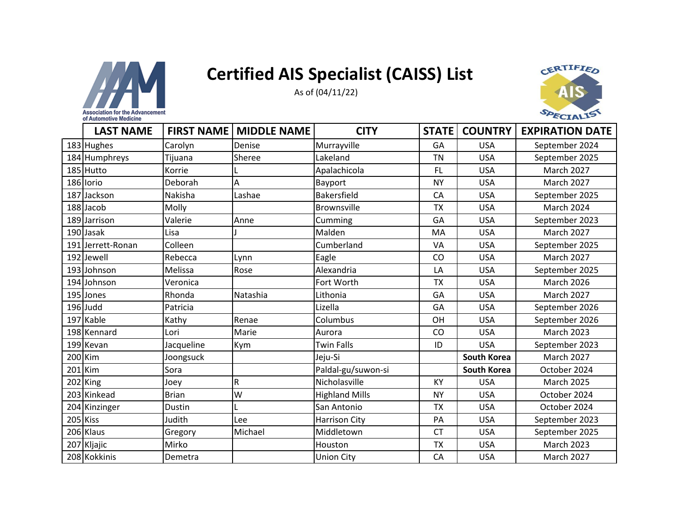



| <b>LAST NAME</b>  | <b>FIRST NAME</b> | <b>MIDDLE NAME</b> | <b>CITY</b>           | <b>STATE</b> | <b>COUNTRY</b>     | <b>EXPIRATION DATE</b> |
|-------------------|-------------------|--------------------|-----------------------|--------------|--------------------|------------------------|
| 183 Hughes        | Carolyn           | Denise             | Murrayville           | GA           | <b>USA</b>         | September 2024         |
| 184 Humphreys     | Tijuana           | Sheree             | Lakeland              | <b>TN</b>    | <b>USA</b>         | September 2025         |
| 185 Hutto         | Korrie            |                    | Apalachicola          | <b>FL</b>    | <b>USA</b>         | March 2027             |
| 186 lorio         | Deborah           | Α                  | Bayport               | <b>NY</b>    | <b>USA</b>         | <b>March 2027</b>      |
| 187 Jackson       | Nakisha           | Lashae             | <b>Bakersfield</b>    | CA           | <b>USA</b>         | September 2025         |
| 188 Jacob         | Molly             |                    | Brownsville           | <b>TX</b>    | <b>USA</b>         | <b>March 2024</b>      |
| 189 Jarrison      | Valerie           | Anne               | Cumming               | GA           | <b>USA</b>         | September 2023         |
| 190 Jasak         | Lisa              |                    | Malden                | MA           | <b>USA</b>         | March 2027             |
| 191 Jerrett-Ronan | Colleen           |                    | Cumberland            | VA           | <b>USA</b>         | September 2025         |
| 192 Jewell        | Rebecca           | Lynn               | Eagle                 | CO           | <b>USA</b>         | <b>March 2027</b>      |
| 193 Johnson       | Melissa           | Rose               | Alexandria            | LA           | <b>USA</b>         | September 2025         |
| 194 Johnson       | Veronica          |                    | Fort Worth            | <b>TX</b>    | <b>USA</b>         | <b>March 2026</b>      |
| 195 Jones         | Rhonda            | Natashia           | Lithonia              | GA           | <b>USA</b>         | <b>March 2027</b>      |
| 196 Judd          | Patricia          |                    | Lizella               | GA           | <b>USA</b>         | September 2026         |
| 197 Kable         | Kathy             | Renae              | Columbus              | OH           | <b>USA</b>         | September 2026         |
| 198 Kennard       | Lori              | Marie              | Aurora                | <b>CO</b>    | <b>USA</b>         | <b>March 2023</b>      |
| 199 Kevan         | Jacqueline        | Kym                | <b>Twin Falls</b>     | ID           | <b>USA</b>         | September 2023         |
| 200 Kim           | Joongsuck         |                    | Jeju-Si               |              | <b>South Korea</b> | <b>March 2027</b>      |
| $201$ Kim         | Sora              |                    | Paldal-gu/suwon-si    |              | <b>South Korea</b> | October 2024           |
| 202 King          | Joey              | R                  | Nicholasville         | KY           | <b>USA</b>         | March 2025             |
| 203 Kinkead       | <b>Brian</b>      | W                  | <b>Highland Mills</b> | <b>NY</b>    | <b>USA</b>         | October 2024           |
| 204 Kinzinger     | Dustin            |                    | San Antonio           | <b>TX</b>    | <b>USA</b>         | October 2024           |
| 205 Kiss          | Judith            | Lee                | <b>Harrison City</b>  | PA           | <b>USA</b>         | September 2023         |
| 206 Klaus         | Gregory           | Michael            | Middletown            | <b>CT</b>    | <b>USA</b>         | September 2025         |
| 207 Kljajic       | Mirko             |                    | Houston               | <b>TX</b>    | <b>USA</b>         | <b>March 2023</b>      |
| 208 Kokkinis      | Demetra           |                    | <b>Union City</b>     | CA           | <b>USA</b>         | March 2027             |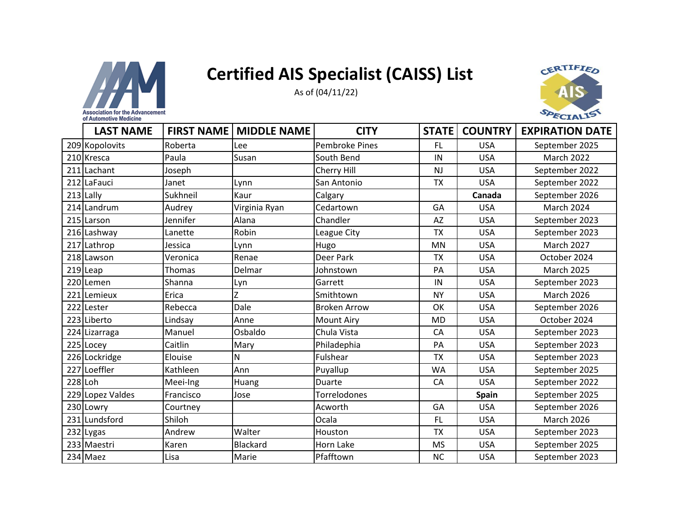

As of (04/11/22)



|         | <b>LAST NAME</b> | <b>FIRST NAME</b> | <b>MIDDLE NAME</b> | <b>CITY</b>           | <b>STATE</b> | <b>COUNTRY</b> | <b>EXPIRATION DATE</b> |
|---------|------------------|-------------------|--------------------|-----------------------|--------------|----------------|------------------------|
|         | 209 Kopolovits   | Roberta           | Lee                | <b>Pembroke Pines</b> | <b>FL</b>    | <b>USA</b>     | September 2025         |
|         | 210 Kresca       | Paula             | Susan              | South Bend            | IN           | <b>USA</b>     | <b>March 2022</b>      |
|         | 211 Lachant      | Joseph            |                    | Cherry Hill           | NJ           | <b>USA</b>     | September 2022         |
|         | 212 LaFauci      | Janet             | Lynn               | San Antonio           | TX           | <b>USA</b>     | September 2022         |
|         | $213$ Lally      | Sukhneil          | Kaur               | Calgary               |              | Canada         | September 2026         |
|         | 214 Landrum      | Audrey            | Virginia Ryan      | Cedartown             | GA           | <b>USA</b>     | <b>March 2024</b>      |
|         | 215 Larson       | Jennifer          | Alana              | Chandler              | <b>AZ</b>    | <b>USA</b>     | September 2023         |
|         | 216 Lashway      | Lanette           | Robin              | League City           | <b>TX</b>    | <b>USA</b>     | September 2023         |
|         | 217 Lathrop      | Jessica           | Lynn               | Hugo                  | <b>MN</b>    | <b>USA</b>     | <b>March 2027</b>      |
|         | 218 Lawson       | Veronica          | Renae              | Deer Park             | <b>TX</b>    | <b>USA</b>     | October 2024           |
|         | $219$ Leap       | <b>Thomas</b>     | Delmar             | Johnstown             | PA           | <b>USA</b>     | <b>March 2025</b>      |
|         | 220 Lemen        | Shanna            | Lyn                | Garrett               | IN           | <b>USA</b>     | September 2023         |
|         | 221 Lemieux      | Erica             | Z                  | Smithtown             | <b>NY</b>    | <b>USA</b>     | <b>March 2026</b>      |
|         | 222 Lester       | Rebecca           | Dale               | <b>Broken Arrow</b>   | OK           | <b>USA</b>     | September 2026         |
|         | 223 Liberto      | Lindsay           | Anne               | <b>Mount Airy</b>     | <b>MD</b>    | <b>USA</b>     | October 2024           |
|         | 224 Lizarraga    | Manuel            | Osbaldo            | Chula Vista           | CA           | <b>USA</b>     | September 2023         |
|         | 225 Locey        | Caitlin           | Mary               | Philadephia           | PA           | <b>USA</b>     | September 2023         |
|         | 226 Lockridge    | Elouise           | $\mathsf{N}$       | Fulshear              | <b>TX</b>    | <b>USA</b>     | September 2023         |
|         | 227 Loeffler     | Kathleen          | Ann                | Puyallup              | WA           | <b>USA</b>     | September 2025         |
| 228 Loh |                  | Meei-Ing          | Huang              | Duarte                | CA           | <b>USA</b>     | September 2022         |
|         | 229 Lopez Valdes | Francisco         | Jose               | Torrelodones          |              | <b>Spain</b>   | September 2025         |
|         | 230 Lowry        | Courtney          |                    | Acworth               | GA           | <b>USA</b>     | September 2026         |
|         | 231 Lundsford    | Shiloh            |                    | Ocala                 | <b>FL</b>    | <b>USA</b>     | <b>March 2026</b>      |
|         | 232 Lygas        | Andrew            | Walter             | Houston               | <b>TX</b>    | <b>USA</b>     | September 2023         |
|         | 233 Maestri      | Karen             | <b>Blackard</b>    | Horn Lake             | <b>MS</b>    | <b>USA</b>     | September 2025         |
|         | 234 Maez         | Lisa              | Marie              | Pfafftown             | <b>NC</b>    | <b>USA</b>     | September 2023         |

of Automotive Medicine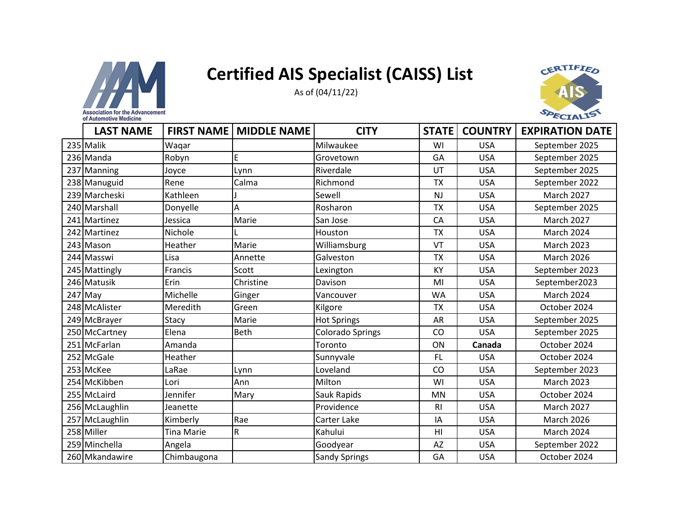



| <b>LAST NAME</b> | <b>FIRST NAME</b> | <b>MIDDLE NAME</b> | <b>CITY</b>          | <b>STATE</b>   | <b>COUNTRY</b> | <b>EXPIRATION DATE</b> |
|------------------|-------------------|--------------------|----------------------|----------------|----------------|------------------------|
| 235 Malik        | Waqar             |                    | Milwaukee            | WI             | <b>USA</b>     | September 2025         |
| 236 Manda        | Robyn             | E                  | Grovetown            | GA             | <b>USA</b>     | September 2025         |
| 237 Manning      | Joyce             | Lynn               | Riverdale            | UT             | <b>USA</b>     | September 2025         |
| 238 Manuguid     | Rene              | Calma              | Richmond             | <b>TX</b>      | <b>USA</b>     | September 2022         |
| 239 Marcheski    | Kathleen          |                    | Sewell               | <b>NJ</b>      | <b>USA</b>     | <b>March 2027</b>      |
| 240 Marshall     | Donyelle          | Α                  | Rosharon             | <b>TX</b>      | <b>USA</b>     | September 2025         |
| 241 Martinez     | Jessica           | Marie              | San Jose             | CA             | <b>USA</b>     | <b>March 2027</b>      |
| 242 Martinez     | Nichole           |                    | Houston              | <b>TX</b>      | <b>USA</b>     | <b>March 2024</b>      |
| 243 Mason        | Heather           | Marie              | Williamsburg         | VT             | <b>USA</b>     | <b>March 2023</b>      |
| 244 Masswi       | Lisa              | Annette            | Galveston            | <b>TX</b>      | <b>USA</b>     | <b>March 2026</b>      |
| 245 Mattingly    | Francis           | Scott              | Lexington            | <b>KY</b>      | <b>USA</b>     | September 2023         |
| 246 Matusik      | Erin              | Christine          | Davison              | MI             | <b>USA</b>     | September2023          |
| $247$ May        | Michelle          | Ginger             | Vancouver            | <b>WA</b>      | <b>USA</b>     | <b>March 2024</b>      |
| 248 McAlister    | Meredith          | Green              | Kilgore              | <b>TX</b>      | <b>USA</b>     | October 2024           |
| 249 McBrayer     | Stacy             | Marie              | <b>Hot Springs</b>   | <b>AR</b>      | <b>USA</b>     | September 2025         |
| 250 McCartney    | Elena             | <b>Beth</b>        | Colorado Springs     | CO             | <b>USA</b>     | September 2025         |
| 251 McFarlan     | Amanda            |                    | Toronto              | ON             | Canada         | October 2024           |
| 252 McGale       | Heather           |                    | Sunnyvale            | FL.            | <b>USA</b>     | October 2024           |
| 253 McKee        | LaRae             | Lynn               | Loveland             | CO             | <b>USA</b>     | September 2023         |
| 254 McKibben     | Lori              | Ann                | Milton               | WI             | <b>USA</b>     | <b>March 2023</b>      |
| 255 McLaird      | Jennifer          | Mary               | Sauk Rapids          | <b>MN</b>      | <b>USA</b>     | October 2024           |
| 256 McLaughlin   | Jeanette          |                    | Providence           | R <sub>l</sub> | <b>USA</b>     | <b>March 2027</b>      |
| 257 McLaughlin   | Kimberly          | Rae                | Carter Lake          | IA             | <b>USA</b>     | <b>March 2026</b>      |
| 258 Miller       | <b>Tina Marie</b> | $\mathsf R$        | Kahului              | H1             | <b>USA</b>     | <b>March 2024</b>      |
| 259 Minchella    | Angela            |                    | Goodyear             | <b>AZ</b>      | <b>USA</b>     | September 2022         |
| 260 Mkandawire   | Chimbaugona       |                    | <b>Sandy Springs</b> | GA             | <b>USA</b>     | October 2024           |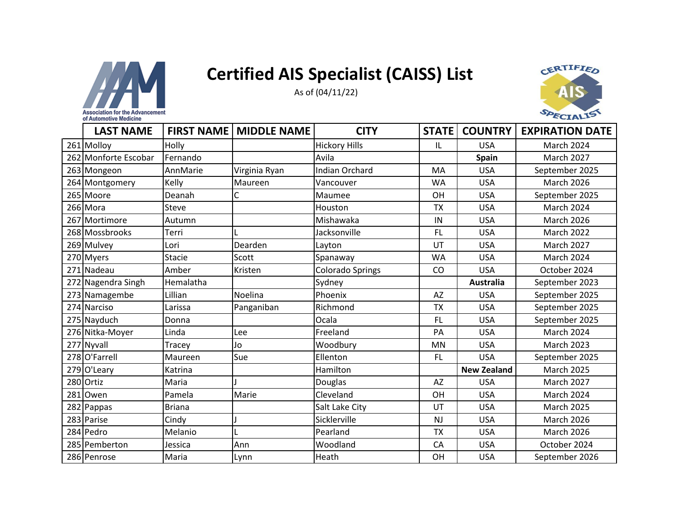

As of (04/11/22)



| <b>LAST NAME</b>     |               | <b>FIRST NAME   MIDDLE NAME</b> | <b>CITY</b>             | <b>STATE</b> | <b>COUNTRY</b>     | <b>EXPIRATION DATE</b> |
|----------------------|---------------|---------------------------------|-------------------------|--------------|--------------------|------------------------|
| 261 Molloy           | Holly         |                                 | <b>Hickory Hills</b>    | IL           | <b>USA</b>         | March 2024             |
| 262 Monforte Escobar | Fernando      |                                 | Avila                   |              | <b>Spain</b>       | <b>March 2027</b>      |
| 263 Mongeon          | AnnMarie      | Virginia Ryan                   | <b>Indian Orchard</b>   | MA           | <b>USA</b>         | September 2025         |
| 264 Montgomery       | Kelly         | Maureen                         | Vancouver               | WA           | <b>USA</b>         | <b>March 2026</b>      |
| 265 Moore            | Deanah        | C                               | Maumee                  | <b>OH</b>    | <b>USA</b>         | September 2025         |
| 266 Mora             | Steve         |                                 | Houston                 | <b>TX</b>    | <b>USA</b>         | <b>March 2024</b>      |
| 267 Mortimore        | Autumn        |                                 | Mishawaka               | IN           | <b>USA</b>         | <b>March 2026</b>      |
| 268 Mossbrooks       | Terri         |                                 | Jacksonville            | <b>FL</b>    | <b>USA</b>         | <b>March 2022</b>      |
| 269 Mulvey           | Lori          | Dearden                         | Layton                  | UT           | <b>USA</b>         | <b>March 2027</b>      |
| 270 Myers            | <b>Stacie</b> | Scott                           | Spanaway                | <b>WA</b>    | <b>USA</b>         | March 2024             |
| 271 Nadeau           | Amber         | Kristen                         | <b>Colorado Springs</b> | CO           | <b>USA</b>         | October 2024           |
| 272 Nagendra Singh   | Hemalatha     |                                 | Sydney                  |              | <b>Australia</b>   | September 2023         |
| 273 Namagembe        | Lillian       | Noelina                         | Phoenix                 | <b>AZ</b>    | <b>USA</b>         | September 2025         |
| 274 Narciso          | Larissa       | Panganiban                      | Richmond                | <b>TX</b>    | <b>USA</b>         | September 2025         |
| 275 Nayduch          | Donna         |                                 | Ocala                   | <b>FL</b>    | <b>USA</b>         | September 2025         |
| 276 Nitka-Moyer      | Linda         | Lee                             | Freeland                | PA           | <b>USA</b>         | <b>March 2024</b>      |
| 277 Nyvall           | Tracey        | Jo                              | Woodbury                | <b>MN</b>    | <b>USA</b>         | <b>March 2023</b>      |
| 278 O'Farrell        | Maureen       | Sue                             | Ellenton                | <b>FL</b>    | <b>USA</b>         | September 2025         |
| 279 O'Leary          | Katrina       |                                 | Hamilton                |              | <b>New Zealand</b> | <b>March 2025</b>      |
| 280 Ortiz            | Maria         |                                 | Douglas                 | AZ           | <b>USA</b>         | <b>March 2027</b>      |
| 281 Owen             | Pamela        | Marie                           | Cleveland               | OH           | <b>USA</b>         | March 2024             |
| 282 Pappas           | <b>Briana</b> |                                 | Salt Lake City          | UT           | <b>USA</b>         | <b>March 2025</b>      |
| 283 Parise           | Cindy         |                                 | Sicklerville            | <b>NJ</b>    | <b>USA</b>         | <b>March 2026</b>      |
| 284 Pedro            | Melanio       |                                 | Pearland                | <b>TX</b>    | <b>USA</b>         | <b>March 2026</b>      |
| 285 Pemberton        | Jessica       | Ann                             | Woodland                | CA           | <b>USA</b>         | October 2024           |
| 286 Penrose          | Maria         | Lynn                            | Heath                   | OH           | <b>USA</b>         | September 2026         |

of Automotive Medicine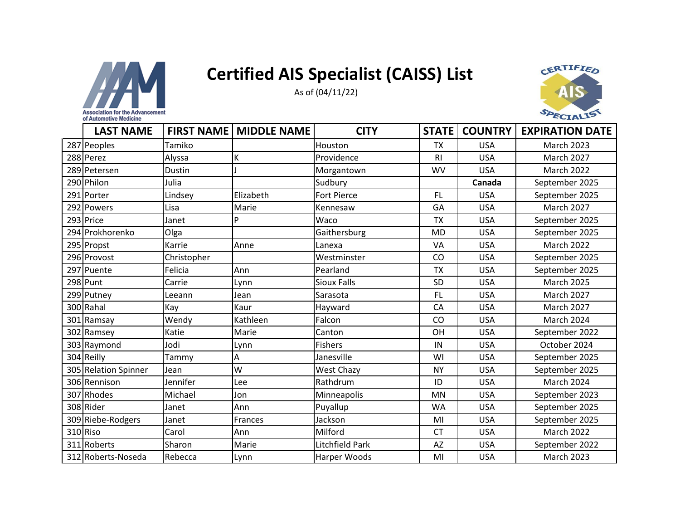



| <b>LAST NAME</b>     |             | <b>FIRST NAME   MIDDLE NAME</b> | <b>CITY</b>            | <b>STATE</b>   | <b>COUNTRY</b> | <b>EXPIRATION DATE</b> |
|----------------------|-------------|---------------------------------|------------------------|----------------|----------------|------------------------|
| 287 Peoples          | Tamiko      |                                 | Houston                | <b>TX</b>      | <b>USA</b>     | <b>March 2023</b>      |
| 288 Perez            | Alyssa      | K                               | Providence             | R <sub>l</sub> | <b>USA</b>     | <b>March 2027</b>      |
| 289 Petersen         | Dustin      |                                 | Morgantown             | <b>WV</b>      | <b>USA</b>     | March 2022             |
| 290 Philon           | Julia       |                                 | Sudbury                |                | Canada         | September 2025         |
| 291 Porter           | Lindsey     | Elizabeth                       | Fort Pierce            | <b>FL</b>      | <b>USA</b>     | September 2025         |
| 292 Powers           | Lisa        | Marie                           | Kennesaw               | GA             | <b>USA</b>     | <b>March 2027</b>      |
| 293 Price            | Janet       | P                               | Waco                   | <b>TX</b>      | <b>USA</b>     | September 2025         |
| 294 Prokhorenko      | Olga        |                                 | Gaithersburg           | MD             | <b>USA</b>     | September 2025         |
| 295 Propst           | Karrie      | Anne                            | Lanexa                 | VA             | <b>USA</b>     | <b>March 2022</b>      |
| 296 Provost          | Christopher |                                 | Westminster            | CO             | <b>USA</b>     | September 2025         |
| 297 Puente           | Felicia     | Ann                             | Pearland               | <b>TX</b>      | <b>USA</b>     | September 2025         |
| 298 Punt             | Carrie      | Lynn                            | <b>Sioux Falls</b>     | SD             | <b>USA</b>     | <b>March 2025</b>      |
| 299 Putney           | Leeann      | Jean                            | Sarasota               | <b>FL</b>      | <b>USA</b>     | <b>March 2027</b>      |
| 300 Rahal            | Kay         | Kaur                            | Hayward                | CA             | <b>USA</b>     | <b>March 2027</b>      |
| 301 Ramsay           | Wendy       | Kathleen                        | Falcon                 | CO             | <b>USA</b>     | March 2024             |
| 302 Ramsey           | Katie       | Marie                           | Canton                 | OH             | <b>USA</b>     | September 2022         |
| 303 Raymond          | Jodi        | Lynn                            | <b>Fishers</b>         | IN             | <b>USA</b>     | October 2024           |
| 304 Reilly           | Tammy       | Α                               | Janesville             | WI             | <b>USA</b>     | September 2025         |
| 305 Relation Spinner | Jean        | W                               | <b>West Chazy</b>      | <b>NY</b>      | <b>USA</b>     | September 2025         |
| 306 Rennison         | Jennifer    | Lee                             | Rathdrum               | ID             | <b>USA</b>     | <b>March 2024</b>      |
| 307 Rhodes           | Michael     | Jon                             | Minneapolis            | <b>MN</b>      | <b>USA</b>     | September 2023         |
| 308 Rider            | Janet       | Ann                             | Puyallup               | <b>WA</b>      | <b>USA</b>     | September 2025         |
| 309 Riebe-Rodgers    | Janet       | Frances                         | Jackson                | MI             | <b>USA</b>     | September 2025         |
| 310 Riso             | Carol       | Ann                             | Milford                | <b>CT</b>      | <b>USA</b>     | <b>March 2022</b>      |
| 311 Roberts          | Sharon      | Marie                           | <b>Litchfield Park</b> | <b>AZ</b>      | <b>USA</b>     | September 2022         |
| 312 Roberts-Noseda   | Rebecca     | Lynn                            | <b>Harper Woods</b>    | MI             | <b>USA</b>     | <b>March 2023</b>      |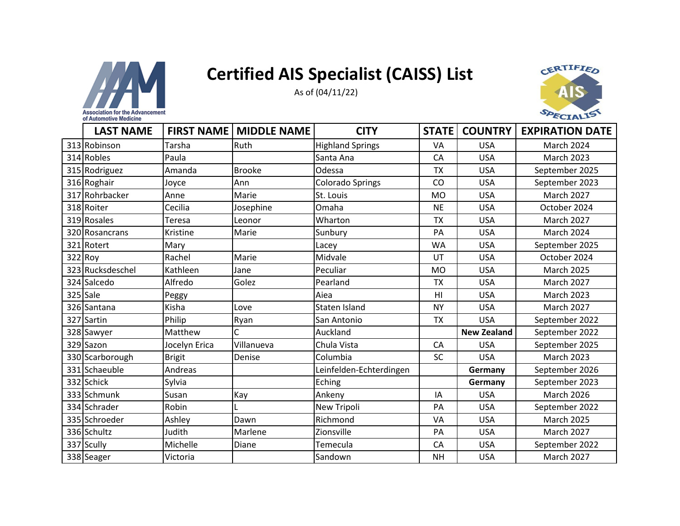



| <b>LAST NAME</b> | <b>FIRST NAME</b> | <b>MIDDLE NAME</b> | <b>CITY</b>             | <b>STATE</b>   | <b>COUNTRY</b>     | <b>EXPIRATION DATE</b> |
|------------------|-------------------|--------------------|-------------------------|----------------|--------------------|------------------------|
| 313 Robinson     | Tarsha            | <b>Ruth</b>        | <b>Highland Springs</b> | VA             | <b>USA</b>         | <b>March 2024</b>      |
| 314 Robles       | Paula             |                    | Santa Ana               | CA             | <b>USA</b>         | <b>March 2023</b>      |
| 315 Rodriguez    | Amanda            | <b>Brooke</b>      | Odessa                  | <b>TX</b>      | <b>USA</b>         | September 2025         |
| 316 Roghair      | Joyce             | Ann                | <b>Colorado Springs</b> | CO             | <b>USA</b>         | September 2023         |
| 317 Rohrbacker   | Anne              | Marie              | St. Louis               | <b>MO</b>      | <b>USA</b>         | <b>March 2027</b>      |
| 318 Roiter       | Cecilia           | Josephine          | Omaha                   | <b>NE</b>      | <b>USA</b>         | October 2024           |
| 319 Rosales      | Teresa            | Leonor             | Wharton                 | <b>TX</b>      | <b>USA</b>         | <b>March 2027</b>      |
| 320 Rosancrans   | Kristine          | Marie              | Sunbury                 | PA             | <b>USA</b>         | <b>March 2024</b>      |
| 321 Rotert       | Mary              |                    | Lacey                   | <b>WA</b>      | <b>USA</b>         | September 2025         |
| 322 Roy          | Rachel            | Marie              | Midvale                 | UT             | <b>USA</b>         | October 2024           |
| 323 Rucksdeschel | Kathleen          | Jane               | Peculiar                | <b>MO</b>      | <b>USA</b>         | <b>March 2025</b>      |
| 324 Salcedo      | Alfredo           | Golez              | Pearland                | <b>TX</b>      | <b>USA</b>         | <b>March 2027</b>      |
| 325 Sale         | Peggy             |                    | Aiea                    | H <sub>l</sub> | <b>USA</b>         | <b>March 2023</b>      |
| 326 Santana      | Kisha             | Love               | <b>Staten Island</b>    | <b>NY</b>      | <b>USA</b>         | <b>March 2027</b>      |
| 327 Sartin       | Philip            | Ryan               | San Antonio             | <b>TX</b>      | <b>USA</b>         | September 2022         |
| 328 Sawyer       | Matthew           | Ċ                  | Auckland                |                | <b>New Zealand</b> | September 2022         |
| 329 Sazon        | Jocelyn Erica     | Villanueva         | Chula Vista             | CA             | <b>USA</b>         | September 2025         |
| 330 Scarborough  | <b>Brigit</b>     | Denise             | Columbia                | <b>SC</b>      | <b>USA</b>         | <b>March 2023</b>      |
| 331 Schaeuble    | Andreas           |                    | Leinfelden-Echterdingen |                | Germany            | September 2026         |
| 332 Schick       | Sylvia            |                    | Eching                  |                | Germany            | September 2023         |
| 333 Schmunk      | Susan             | Kay                | Ankeny                  | IA             | <b>USA</b>         | <b>March 2026</b>      |
| 334 Schrader     | Robin             |                    | New Tripoli             | PA             | <b>USA</b>         | September 2022         |
| 335 Schroeder    | Ashley            | Dawn               | Richmond                | VA             | <b>USA</b>         | <b>March 2025</b>      |
| 336 Schultz      | Judith            | Marlene            | Zionsville              | PA             | <b>USA</b>         | <b>March 2027</b>      |
| 337 Scully       | Michelle          | Diane              | Temecula                | CA             | <b>USA</b>         | September 2022         |
| 338 Seager       | Victoria          |                    | Sandown                 | <b>NH</b>      | <b>USA</b>         | <b>March 2027</b>      |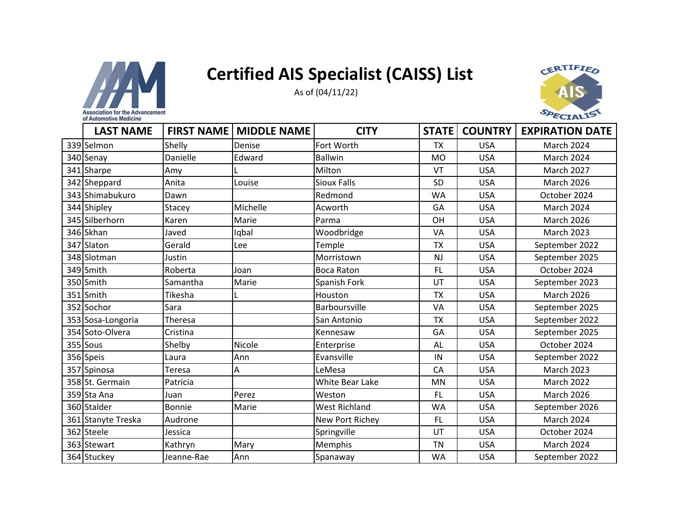



| <b>LAST NAME</b>   | <b>FIRST NAME</b> | <b>MIDDLE NAME</b> | <b>CITY</b>          | <b>STATE</b> | <b>COUNTRY</b> | <b>EXPIRATION DATE</b> |
|--------------------|-------------------|--------------------|----------------------|--------------|----------------|------------------------|
| 339 Selmon         | Shelly            | Denise             | Fort Worth           | <b>TX</b>    | <b>USA</b>     | <b>March 2024</b>      |
| 340 Senay          | Danielle          | Edward             | <b>Ballwin</b>       | <b>MO</b>    | <b>USA</b>     | <b>March 2024</b>      |
| 341 Sharpe         | Amy               |                    | Milton               | VT           | <b>USA</b>     | <b>March 2027</b>      |
| 342 Sheppard       | Anita             | Louise             | <b>Sioux Falls</b>   | <b>SD</b>    | <b>USA</b>     | <b>March 2026</b>      |
| 343 Shimabukuro    | Dawn              |                    | Redmond              | <b>WA</b>    | <b>USA</b>     | October 2024           |
| 344 Shipley        | Stacey            | Michelle           | Acworth              | GA           | <b>USA</b>     | <b>March 2024</b>      |
| 345 Silberhorn     | Karen             | Marie              | Parma                | OH           | <b>USA</b>     | <b>March 2026</b>      |
| 346 Skhan          | Javed             | Iqbal              | Woodbridge           | <b>VA</b>    | <b>USA</b>     | <b>March 2023</b>      |
| 347 Slaton         | Gerald            | Lee                | Temple               | <b>TX</b>    | <b>USA</b>     | September 2022         |
| 348 Slotman        | Justin            |                    | Morristown           | <b>NJ</b>    | <b>USA</b>     | September 2025         |
| 349 Smith          | Roberta           | Joan               | <b>Boca Raton</b>    | <b>FL</b>    | <b>USA</b>     | October 2024           |
| 350 Smith          | Samantha          | Marie              | Spanish Fork         | UT           | <b>USA</b>     | September 2023         |
| 351 Smith          | Tikesha           |                    | Houston              | <b>TX</b>    | <b>USA</b>     | <b>March 2026</b>      |
| 352 Sochor         | Sara              |                    | Barboursville        | VA           | <b>USA</b>     | September 2025         |
| 353 Sosa-Longoria  | Theresa           |                    | San Antonio          | <b>TX</b>    | <b>USA</b>     | September 2022         |
| 354 Soto-Olvera    | Cristina          |                    | Kennesaw             | GA           | <b>USA</b>     | September 2025         |
| 355 Sous           | Shelby            | Nicole             | Enterprise           | AL           | <b>USA</b>     | October 2024           |
| 356 Speis          | Laura             | Ann                | Evansville           | IN           | <b>USA</b>     | September 2022         |
| 357 Spinosa        | Teresa            | Α                  | LeMesa               | CA           | <b>USA</b>     | <b>March 2023</b>      |
| 358 St. Germain    | Patricia          |                    | White Bear Lake      | <b>MN</b>    | <b>USA</b>     | <b>March 2022</b>      |
| 359 Sta Ana        | Juan              | Perez              | Weston               | <b>FL</b>    | <b>USA</b>     | <b>March 2026</b>      |
| 360 Stalder        | <b>Bonnie</b>     | Marie              | <b>West Richland</b> | <b>WA</b>    | <b>USA</b>     | September 2026         |
| 361 Stanyte Treska | Audrone           |                    | New Port Richey      | <b>FL</b>    | <b>USA</b>     | <b>March 2024</b>      |
| 362 Steele         | Jessica           |                    | Springville          | UT           | <b>USA</b>     | October 2024           |
| 363 Stewart        | Kathryn           | Mary               | Memphis              | <b>TN</b>    | <b>USA</b>     | <b>March 2024</b>      |
| 364 Stuckey        | Jeanne-Rae        | Ann                | Spanaway             | <b>WA</b>    | <b>USA</b>     | September 2022         |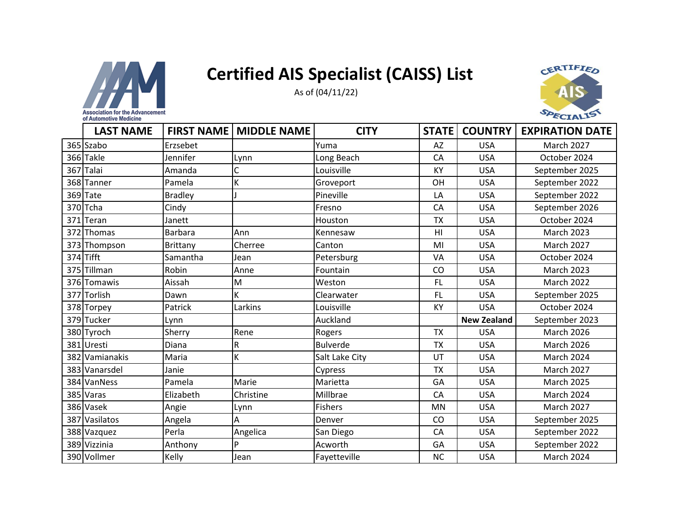



| <b>LAST NAME</b> | <b>FIRST NAME</b> | <b>MIDDLE NAME</b> | <b>CITY</b>     | <b>STATE</b> | <b>COUNTRY</b>     | <b>EXPIRATION DATE</b> |
|------------------|-------------------|--------------------|-----------------|--------------|--------------------|------------------------|
| 365 Szabo        | Erzsebet          |                    | Yuma            | AZ           | <b>USA</b>         | <b>March 2027</b>      |
| 366 Takle        | Jennifer          | Lynn               | Long Beach      | CA           | <b>USA</b>         | October 2024           |
| 367 Talai        | Amanda            | Ċ                  | Louisville      | <b>KY</b>    | <b>USA</b>         | September 2025         |
| 368 Tanner       | Pamela            | К                  | Groveport       | OH           | <b>USA</b>         | September 2022         |
| 369 Tate         | <b>Bradley</b>    |                    | Pineville       | LA           | <b>USA</b>         | September 2022         |
| 370 Tcha         | Cindy             |                    | Fresno          | CA           | <b>USA</b>         | September 2026         |
| 371 Teran        | Janett            |                    | Houston         | <b>TX</b>    | <b>USA</b>         | October 2024           |
| 372 Thomas       | <b>Barbara</b>    | Ann                | Kennesaw        | HI           | <b>USA</b>         | <b>March 2023</b>      |
| 373 Thompson     | Brittany          | Cherree            | Canton          | MI           | <b>USA</b>         | <b>March 2027</b>      |
| 374 Tifft        | Samantha          | Jean               | Petersburg      | VA           | <b>USA</b>         | October 2024           |
| 375 Tillman      | Robin             | Anne               | Fountain        | CO           | <b>USA</b>         | <b>March 2023</b>      |
| 376 Tomawis      | Aissah            | M                  | Weston          | FL           | <b>USA</b>         | <b>March 2022</b>      |
| 377 Torlish      | Dawn              | K                  | Clearwater      | FL           | <b>USA</b>         | September 2025         |
| 378 Torpey       | Patrick           | Larkins            | Louisville      | <b>KY</b>    | <b>USA</b>         | October 2024           |
| 379 Tucker       | Lynn              |                    | Auckland        |              | <b>New Zealand</b> | September 2023         |
| 380 Tyroch       | Sherry            | Rene               | Rogers          | <b>TX</b>    | <b>USA</b>         | <b>March 2026</b>      |
| 381 Uresti       | Diana             | R                  | <b>Bulverde</b> | <b>TX</b>    | <b>USA</b>         | <b>March 2026</b>      |
| 382 Vamianakis   | Maria             | К                  | Salt Lake City  | UT           | <b>USA</b>         | <b>March 2024</b>      |
| 383 Vanarsdel    | Janie             |                    | Cypress         | <b>TX</b>    | <b>USA</b>         | <b>March 2027</b>      |
| 384 VanNess      | Pamela            | Marie              | Marietta        | GA           | <b>USA</b>         | <b>March 2025</b>      |
| 385 Varas        | Elizabeth         | Christine          | Millbrae        | CA           | <b>USA</b>         | March 2024             |
| 386 Vasek        | Angie             | Lynn               | <b>Fishers</b>  | <b>MN</b>    | <b>USA</b>         | <b>March 2027</b>      |
| 387 Vasilatos    | Angela            | Α                  | Denver          | CO           | <b>USA</b>         | September 2025         |
| 388 Vazquez      | Perla             | Angelica           | San Diego       | CA           | <b>USA</b>         | September 2022         |
| 389 Vizzinia     | Anthony           | P                  | Acworth         | GA           | <b>USA</b>         | September 2022         |
| 390 Vollmer      | Kelly             | Jean               | Fayetteville    | <b>NC</b>    | <b>USA</b>         | March 2024             |